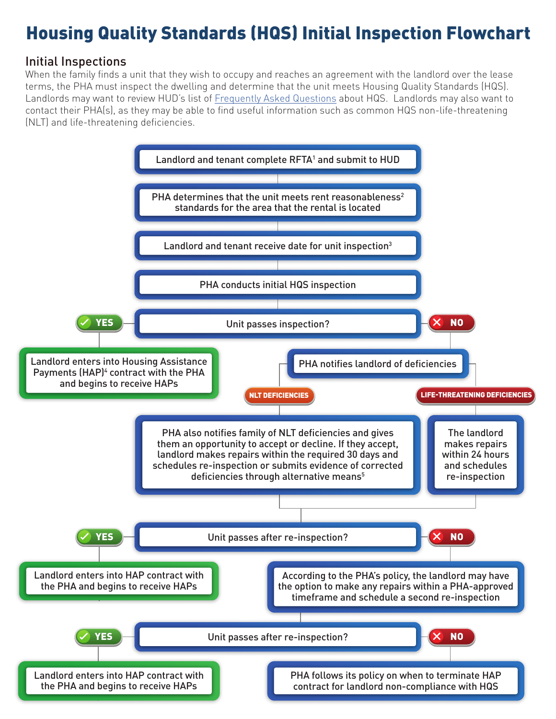## Housing Quality Standards (HQS) Initial Inspection Flowchart

## Initial Inspections

When the family finds a unit that they wish to occupy and reaches an agreement with the landlord over the lease terms, the PHA must inspect the dwelling and determine that the unit meets Housing Quality Standards (HQS). Landlords may want to review HUD's list of [Frequently Asked Questions](https://www.hud.gov/sites/documents/DOC_9143.PDF) about HQS. Landlords may also want to contact their PHA(s), as they may be able to find useful information such as common HQS non-life-threatening (NLT) and life-threatening deficiencies.